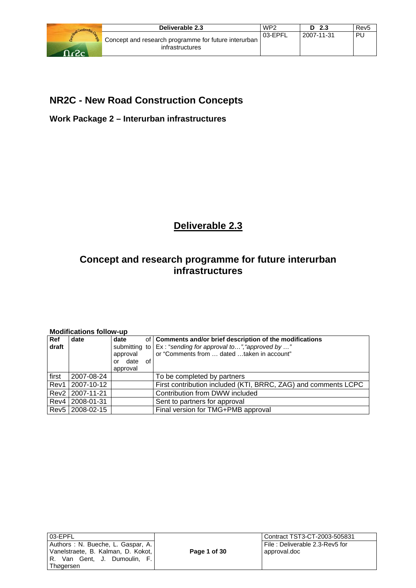

# **NR2C - New Road Construction Concepts**

**Work Package 2 – Interurban infrastructures** 

# **Deliverable 2.3**

# **Concept and research programme for future interurban infrastructures**

| Ref<br>draft | date            | date<br>approval<br>or date<br>of<br>approval | of   Comments and/or brief description of the modifications<br>submitting to   Ex: "sending for approval to", "approved by "<br>or "Comments from  dated taken in account" |
|--------------|-----------------|-----------------------------------------------|----------------------------------------------------------------------------------------------------------------------------------------------------------------------------|
| first        | 2007-08-24      |                                               | To be completed by partners                                                                                                                                                |
| Rev1         | 2007-10-12      |                                               | First contribution included (KTI, BRRC, ZAG) and comments LCPC                                                                                                             |
|              | Rev2 2007-11-21 |                                               | Contribution from DWW included                                                                                                                                             |
|              | Rev4 2008-01-31 |                                               | Sent to partners for approval                                                                                                                                              |
|              | Rev5 2008-02-15 |                                               | Final version for TMG+PMB approval                                                                                                                                         |

**Modifications follow-up** 

| 03-EPFL   |  |                                    |  |  |  |
|-----------|--|------------------------------------|--|--|--|
|           |  | Authors : N. Bueche, L. Gaspar, A. |  |  |  |
|           |  | Vanelstraete, B. Kalman, D. Kokot, |  |  |  |
|           |  | R. Van Gent, J. Dumoulin, F.       |  |  |  |
| Thøgersen |  |                                    |  |  |  |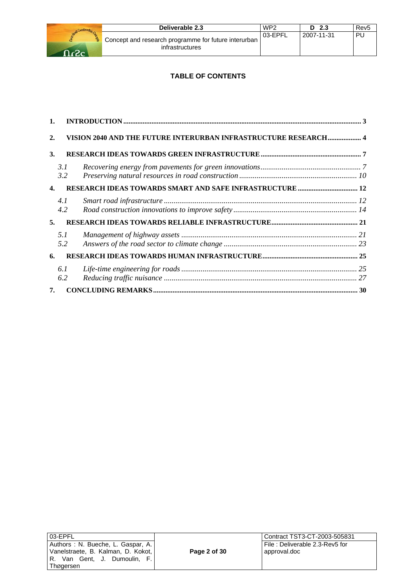

# **TABLE OF CONTENTS**

| $\mathbf{1}$ .   |             |                                                                 |  |
|------------------|-------------|-----------------------------------------------------------------|--|
| $\overline{2}$ . |             | VISION 2040 AND THE FUTURE INTERURBAN INFRASTRUCTURE RESEARCH 4 |  |
| 3.               |             |                                                                 |  |
|                  | 3. I<br>3.2 |                                                                 |  |
| $\mathbf{4}$     |             |                                                                 |  |
|                  | 4.1<br>4.2  |                                                                 |  |
| 5.               |             |                                                                 |  |
|                  | 5.1<br>5.2  |                                                                 |  |
| 6.               |             |                                                                 |  |
|                  | 6.1<br>6.2  |                                                                 |  |
| 7.               |             |                                                                 |  |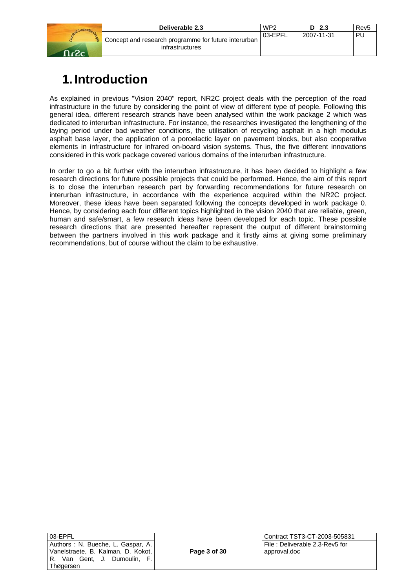|      | Deliverable 2.3                                                         | WP <sub>2</sub> | D<br>-2.3  | Rev <sub>5</sub> |
|------|-------------------------------------------------------------------------|-----------------|------------|------------------|
| במגר | Concept and research programme for future interurban<br>infrastructures | 03-EPFL         | 2007-11-31 | PL               |

# **1. Introduction**

As explained in previous "Vision 2040" report, NR2C project deals with the perception of the road infrastructure in the future by considering the point of view of different type of people. Following this general idea, different research strands have been analysed within the work package 2 which was dedicated to interurban infrastructure. For instance, the researches investigated the lengthening of the laying period under bad weather conditions, the utilisation of recycling asphalt in a high modulus asphalt base layer, the application of a poroelactic layer on pavement blocks, but also cooperative elements in infrastructure for infrared on-board vision systems. Thus, the five different innovations considered in this work package covered various domains of the interurban infrastructure.

In order to go a bit further with the interurban infrastructure, it has been decided to highlight a few research directions for future possible projects that could be performed. Hence, the aim of this report is to close the interurban research part by forwarding recommendations for future research on interurban infrastructure, in accordance with the experience acquired within the NR2C project. Moreover, these ideas have been separated following the concepts developed in work package 0. Hence, by considering each four different topics highlighted in the vision 2040 that are reliable, green, human and safe/smart, a few research ideas have been developed for each topic. These possible research directions that are presented hereafter represent the output of different brainstorming between the partners involved in this work package and it firstly aims at giving some preliminary recommendations, but of course without the claim to be exhaustive.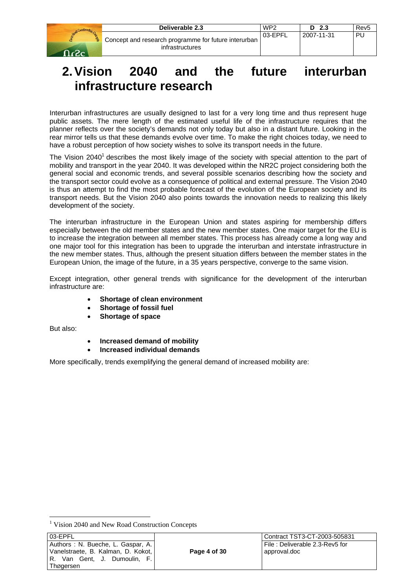|       | Deliverable 2.3                                                         | WP <sub>2</sub> | D <sub>2.3</sub> | Rev <sub>5</sub> |
|-------|-------------------------------------------------------------------------|-----------------|------------------|------------------|
| - ר-י | Concept and research programme for future interurban<br>infrastructures | 03-EPFL         | 2007-11-31       | PU               |

# **2. Vision 2040 and the future interurban infrastructure research**

Interurban infrastructures are usually designed to last for a very long time and thus represent huge public assets. The mere length of the estimated useful life of the infrastructure requires that the planner reflects over the society's demands not only today but also in a distant future. Looking in the rear mirror tells us that these demands evolve over time. To make the right choices today, we need to have a robust perception of how society wishes to solve its transport needs in the future.

The Vision 2040<sup>1</sup> describes the most likely image of the society with special attention to the part of mobility and transport in the year 2040. It was developed within the NR2C project considering both the general social and economic trends, and several possible scenarios describing how the society and the transport sector could evolve as a consequence of political and external pressure. The Vision 2040 is thus an attempt to find the most probable forecast of the evolution of the European society and its transport needs. But the Vision 2040 also points towards the innovation needs to realizing this likely development of the society.

The interurban infrastructure in the European Union and states aspiring for membership differs especially between the old member states and the new member states. One major target for the EU is to increase the integration between all member states. This process has already come a long way and one major tool for this integration has been to upgrade the interurban and interstate infrastructure in the new member states. Thus, although the present situation differs between the member states in the European Union, the image of the future, in a 35 years perspective, converge to the same vision.

Except integration, other general trends with significance for the development of the interurban infrastructure are:

- **Shortage of clean environment**
- **Shortage of fossil fuel**
- **Shortage of space**

But also:

l

- **Increased demand of mobility**
- **Increased individual demands**

More specifically, trends exemplifying the general demand of increased mobility are:

<sup>&</sup>lt;sup>1</sup> Vision 2040 and New Road Construction Concepts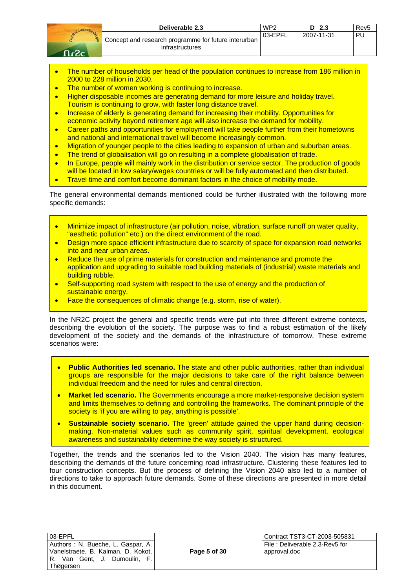| Deliverable 2.3                                                           | WP <sub>2</sub> | - 2.3<br>D. | Rev <sub>5</sub> |
|---------------------------------------------------------------------------|-----------------|-------------|------------------|
| Concept and research programme for future interurban  <br>infrastructures | 03-EPFL         | 2007-11-31  | PU               |

- The number of households per head of the population continues to increase from 186 million in 2000 to 228 million in 2030.
- The number of women working is continuing to increase.
- Higher disposable incomes are generating demand for more leisure and holiday travel. Tourism is continuing to grow, with faster long distance travel.
- Increase of elderly is generating demand for increasing their mobility. Opportunities for economic activity beyond retirement age will also increase the demand for mobility.
- Career paths and opportunities for employment will take people further from their hometowns and national and international travel will become increasingly common.
- Migration of younger people to the cities leading to expansion of urban and suburban areas.
- The trend of globalisation will go on resulting in a complete globalisation of trade.
- In Europe, people will mainly work in the distribution or service sector. The production of goods will be located in low salary/wages countries or will be fully automated and then distributed.
- Travel time and comfort become dominant factors in the choice of mobility mode.

The general environmental demands mentioned could be further illustrated with the following more specific demands:

- Minimize impact of infrastructure (air pollution, noise, vibration, surface runoff on water quality, "aesthetic pollution" etc.) on the direct environment of the road.
- Design more space efficient infrastructure due to scarcity of space for expansion road networks into and near urban areas.
- Reduce the use of prime materials for construction and maintenance and promote the application and upgrading to suitable road building materials of (industrial) waste materials and building rubble.
- Self-supporting road system with respect to the use of energy and the production of sustainable energy.
- Face the consequences of climatic change (e.g. storm, rise of water).

In the NR2C project the general and specific trends were put into three different extreme contexts, describing the evolution of the society. The purpose was to find a robust estimation of the likely development of the society and the demands of the infrastructure of tomorrow. These extreme scenarios were:

- **Public Authorities led scenario.** The state and other public authorities, rather than individual groups are responsible for the major decisions to take care of the right balance between individual freedom and the need for rules and central direction.
- **Market led scenario.** The Governments encourage a more market-responsive decision system and limits themselves to defining and controlling the frameworks. The dominant principle of the society is 'if you are willing to pay, anything is possible'.
- **Sustainable society scenario.** The 'green' attitude gained the upper hand during decisionmaking. Non-material values such as community spirit, spiritual development, ecological awareness and sustainability determine the way society is structured.

Together, the trends and the scenarios led to the Vision 2040. The vision has many features, describing the demands of the future concerning road infrastructure. Clustering these features led to four construction concepts. But the process of defining the Vision 2040 also led to a number of directions to take to approach future demands. Some of these directions are presented in more detail in this document.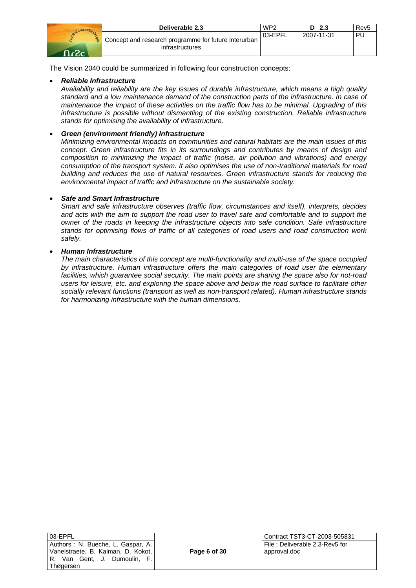|             | Deliverable 2.3                                                         | WP <sub>2</sub> | - 2.3<br>D | Rev <sub>5</sub> |
|-------------|-------------------------------------------------------------------------|-----------------|------------|------------------|
| <u>המקה</u> | Concept and research programme for future interurban<br>infrastructures | 03-EPFL         | 2007-11-31 | PU               |

The Vision 2040 could be summarized in following four construction concepts:

# • *Reliable Infrastructure*

*Availability and reliability are the key issues of durable infrastructure, which means a high quality standard and a low maintenance demand of the construction parts of the infrastructure. In case of maintenance the impact of these activities on the traffic flow has to be minimal. Upgrading of this infrastructure is possible without dismantling of the existing construction. Reliable infrastructure stands for optimising the availability of infrastructure.* 

## • *Green (environment friendly) Infrastructure*

*Minimizing environmental impacts on communities and natural habitats are the main issues of this concept. Green infrastructure fits in its surroundings and contributes by means of design and composition to minimizing the impact of traffic (noise, air pollution and vibrations) and energy consumption of the transport system. It also optimises the use of non-traditional materials for road building and reduces the use of natural resources. Green infrastructure stands for reducing the environmental impact of traffic and infrastructure on the sustainable society.* 

## • *Safe and Smart Infrastructure*

*Smart and safe infrastructure observes (traffic flow, circumstances and itself), interprets, decides and acts with the aim to support the road user to travel safe and comfortable and to support the owner of the roads in keeping the infrastructure objects into safe condition. Safe infrastructure stands for optimising flows of traffic of all categories of road users and road construction work safely.* 

## • *Human Infrastructure*

*The main characteristics of this concept are multi-functionality and multi-use of the space occupied by infrastructure. Human infrastructure offers the main categories of road user the elementary facilities, which guarantee social security. The main points are sharing the space also for not-road users for leisure, etc. and exploring the space above and below the road surface to facilitate other socially relevant functions (transport as well as non-transport related). Human infrastructure stands for harmonizing infrastructure with the human dimensions.*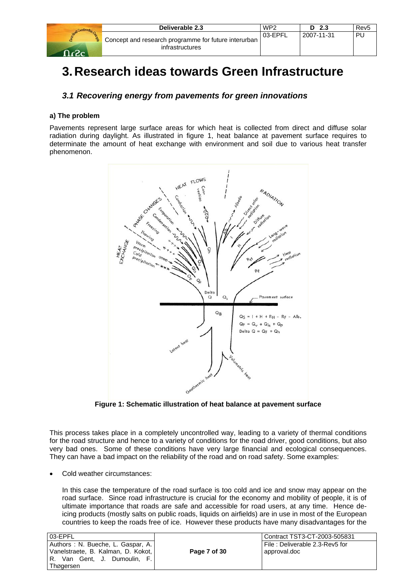|             | Deliverable 2.3                                                                      | WP <sub>2</sub> | D <sub>2.3</sub> | Rev5 |
|-------------|--------------------------------------------------------------------------------------|-----------------|------------------|------|
| <u>ഹം പ</u> | <sup>1</sup> Concept and research programme for future interurban<br>infrastructures | 03-EPFL         | 2007-11-31       | PU   |

# **3. Research ideas towards Green Infrastructure**

# *3.1 Recovering energy from pavements for green innovations*

### **a) The problem**

Pavements represent large surface areas for which heat is collected from direct and diffuse solar radiation during daylight. As illustrated in figure 1, heat balance at pavement surface requires to determinate the amount of heat exchange with environment and soil due to various heat transfer phenomenon.



**Figure 1: Schematic illustration of heat balance at pavement surface** 

This process takes place in a completely uncontrolled way, leading to a variety of thermal conditions for the road structure and hence to a variety of conditions for the road driver, good conditions, but also very bad ones. Some of these conditions have very large financial and ecological consequences. They can have a bad impact on the reliability of the road and on road safety. Some examples:

• Cold weather circumstances:

In this case the temperature of the road surface is too cold and ice and snow may appear on the road surface. Since road infrastructure is crucial for the economy and mobility of people, it is of ultimate importance that roads are safe and accessible for road users, at any time. Hence deicing products (mostly salts on public roads, liquids on airfields) are in use in most of the European countries to keep the roads free of ice. However these products have many disadvantages for the

| 03-EPFL                                                            |              | Contract TST3-CT-2003-505831   |
|--------------------------------------------------------------------|--------------|--------------------------------|
| Authors: N. Bueche, L. Gaspar, A.                                  |              | File: Deliverable 2.3-Rev5 for |
| Vanelstraete, B. Kalman, D. Kokot,<br>R. Van Gent, J. Dumoulin, F. | Page 7 of 30 | approval.doc                   |
| Thøgersen                                                          |              |                                |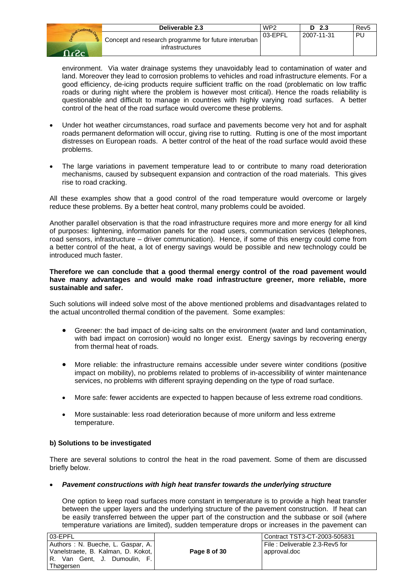|                         | Deliverable 2.3                                                         | WP <sub>2</sub> | D <sub>2.3</sub> | Rev <sub>5</sub> |
|-------------------------|-------------------------------------------------------------------------|-----------------|------------------|------------------|
| ą.<br>$\Omega_{\alpha}$ | Concept and research programme for future interurban<br>infrastructures | 03-EPFL         | 2007-11-31       | PU               |

environment. Via water drainage systems they unavoidably lead to contamination of water and land. Moreover they lead to corrosion problems to vehicles and road infrastructure elements. For a good efficiency, de-icing products require sufficient traffic on the road (problematic on low traffic roads or during night where the problem is however most critical). Hence the roads reliability is questionable and difficult to manage in countries with highly varying road surfaces. A better control of the heat of the road surface would overcome these problems.

- Under hot weather circumstances, road surface and pavements become very hot and for asphalt roads permanent deformation will occur, giving rise to rutting. Rutting is one of the most important distresses on European roads. A better control of the heat of the road surface would avoid these problems.
- The large variations in pavement temperature lead to or contribute to many road deterioration mechanisms, caused by subsequent expansion and contraction of the road materials. This gives rise to road cracking.

All these examples show that a good control of the road temperature would overcome or largely reduce these problems. By a better heat control, many problems could be avoided.

Another parallel observation is that the road infrastructure requires more and more energy for all kind of purposes: lightening, information panels for the road users, communication services (telephones, road sensors, infrastructure – driver communication). Hence, if some of this energy could come from a better control of the heat, a lot of energy savings would be possible and new technology could be introduced much faster.

#### **Therefore we can conclude that a good thermal energy control of the road pavement would have many advantages and would make road infrastructure greener, more reliable, more sustainable and safer.**

Such solutions will indeed solve most of the above mentioned problems and disadvantages related to the actual uncontrolled thermal condition of the pavement. Some examples:

- Greener: the bad impact of de-icing salts on the environment (water and land contamination, with bad impact on corrosion) would no longer exist. Energy savings by recovering energy from thermal heat of roads.
- More reliable: the infrastructure remains accessible under severe winter conditions (positive impact on mobility), no problems related to problems of in-accessibility of winter maintenance services, no problems with different spraying depending on the type of road surface.
- More safe: fewer accidents are expected to happen because of less extreme road conditions.
- More sustainable: less road deterioration because of more uniform and less extreme temperature.

#### **b) Solutions to be investigated**

There are several solutions to control the heat in the road pavement. Some of them are discussed briefly below.

#### • *Pavement constructions with high heat transfer towards the underlying structure*

One option to keep road surfaces more constant in temperature is to provide a high heat transfer between the upper layers and the underlying structure of the pavement construction. If heat can be easily transferred between the upper part of the construction and the subbase or soil (where temperature variations are limited), sudden temperature drops or increases in the pavement can

| 03-EPFL                                                                                                 |              | l Contract TST3-CT-2003-505831                    |
|---------------------------------------------------------------------------------------------------------|--------------|---------------------------------------------------|
| Authors: N. Bueche, L. Gaspar, A.<br>Vanelstraete, B. Kalman, D. Kokot,<br>R. Van Gent, J. Dumoulin, F. | Page 8 of 30 | l File : Deliverable 2.3-Rev5 for<br>approval.doc |
| Thøɑersen                                                                                               |              |                                                   |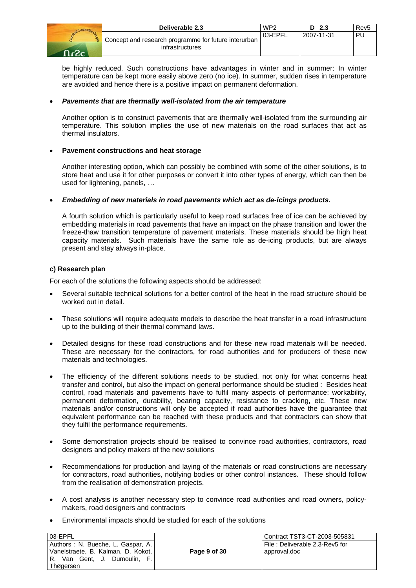|     | Deliverable 2.3                                                         | WP <sub>2</sub> | - 2.3      | Rev <sub>5</sub> |
|-----|-------------------------------------------------------------------------|-----------------|------------|------------------|
| ാം: | Concept and research programme for future interurban<br>infrastructures | 03-EPFL         | 2007-11-31 | PU               |

be highly reduced. Such constructions have advantages in winter and in summer: In winter temperature can be kept more easily above zero (no ice). In summer, sudden rises in temperature are avoided and hence there is a positive impact on permanent deformation.

#### • *Pavements that are thermally well-isolated from the air temperature*

Another option is to construct pavements that are thermally well-isolated from the surrounding air temperature. This solution implies the use of new materials on the road surfaces that act as thermal insulators.

## • **Pavement constructions and heat storage**

Another interesting option, which can possibly be combined with some of the other solutions, is to store heat and use it for other purposes or convert it into other types of energy, which can then be used for lightening, panels, …

## • *Embedding of new materials in road pavements which act as de-icings products.*

A fourth solution which is particularly useful to keep road surfaces free of ice can be achieved by embedding materials in road pavements that have an impact on the phase transition and lower the freeze-thaw transition temperature of pavement materials. These materials should be high heat capacity materials. Such materials have the same role as de-icing products, but are always present and stay always in-place.

#### **c) Research plan**

For each of the solutions the following aspects should be addressed:

- Several suitable technical solutions for a better control of the heat in the road structure should be worked out in detail.
- These solutions will require adequate models to describe the heat transfer in a road infrastructure up to the building of their thermal command laws.
- Detailed designs for these road constructions and for these new road materials will be needed. These are necessary for the contractors, for road authorities and for producers of these new materials and technologies.
- The efficiency of the different solutions needs to be studied, not only for what concerns heat transfer and control, but also the impact on general performance should be studied : Besides heat control, road materials and pavements have to fulfil many aspects of performance: workability, permanent deformation, durability, bearing capacity, resistance to cracking, etc. These new materials and/or constructions will only be accepted if road authorities have the guarantee that equivalent performance can be reached with these products and that contractors can show that they fulfil the performance requirements.
- Some demonstration projects should be realised to convince road authorities, contractors, road designers and policy makers of the new solutions
- Recommendations for production and laying of the materials or road constructions are necessary for contractors, road authorities, notifying bodies or other control instances. These should follow from the realisation of demonstration projects.
- A cost analysis is another necessary step to convince road authorities and road owners, policymakers, road designers and contractors
- Environmental impacts should be studied for each of the solutions

| 03-EPFL                                                                                                                  |              | Contract TST3-CT-2003-505831                   |
|--------------------------------------------------------------------------------------------------------------------------|--------------|------------------------------------------------|
| Authors: N. Bueche, L. Gaspar, A.<br>Vanelstraete, B. Kalman, D. Kokot,<br>  R. Van Gent, J. Dumoulin, F.  <br>Thøgersen | Page 9 of 30 | File: Deliverable 2.3-Rev5 for<br>approval.doc |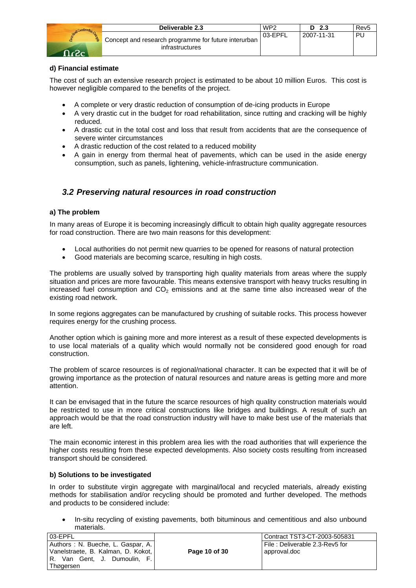|         | Deliverable 2.3                                                                       | WP <sub>2</sub> | D 2.3      | Rev <sub>5</sub> |
|---------|---------------------------------------------------------------------------------------|-----------------|------------|------------------|
| - כי- ו | <sup>1</sup> Concept and research programme for future interurban,<br>infrastructures | 03-EPFL         | 2007-11-31 | PU               |

# **d) Financial estimate**

The cost of such an extensive research project is estimated to be about 10 million Euros. This cost is however negligible compared to the benefits of the project.

- A complete or very drastic reduction of consumption of de-icing products in Europe
- A very drastic cut in the budget for road rehabilitation, since rutting and cracking will be highly reduced.
- A drastic cut in the total cost and loss that result from accidents that are the consequence of severe winter circumstances
- A drastic reduction of the cost related to a reduced mobility
- A gain in energy from thermal heat of pavements, which can be used in the aside energy consumption, such as panels, lightening, vehicle-infrastructure communication.

# *3.2 Preserving natural resources in road construction*

## **a) The problem**

In many areas of Europe it is becoming increasingly difficult to obtain high quality aggregate resources for road construction. There are two main reasons for this development:

- Local authorities do not permit new quarries to be opened for reasons of natural protection
- Good materials are becoming scarce, resulting in high costs.

The problems are usually solved by transporting high quality materials from areas where the supply situation and prices are more favourable. This means extensive transport with heavy trucks resulting in increased fuel consumption and  $CO<sub>2</sub>$  emissions and at the same time also increased wear of the existing road network.

In some regions aggregates can be manufactured by crushing of suitable rocks. This process however requires energy for the crushing process.

Another option which is gaining more and more interest as a result of these expected developments is to use local materials of a quality which would normally not be considered good enough for road construction.

The problem of scarce resources is of regional/national character. It can be expected that it will be of growing importance as the protection of natural resources and nature areas is getting more and more attention.

It can be envisaged that in the future the scarce resources of high quality construction materials would be restricted to use in more critical constructions like bridges and buildings. A result of such an approach would be that the road construction industry will have to make best use of the materials that are left.

The main economic interest in this problem area lies with the road authorities that will experience the higher costs resulting from these expected developments. Also society costs resulting from increased transport should be considered.

#### **b) Solutions to be investigated**

In order to substitute virgin aggregate with marginal/local and recycled materials, already existing methods for stabilisation and/or recycling should be promoted and further developed. The methods and products to be considered include:

• In-situ recycling of existing pavements, both bituminous and cementitious and also unbound materials.

| 03-EPFL                                                                                                                          |               | l Contract TST3-CT-2003-505831                    |
|----------------------------------------------------------------------------------------------------------------------------------|---------------|---------------------------------------------------|
| Authors: N. Bueche, L. Gaspar, A.  <br>  Vanelstraete, B. Kalman, D. Kokot,  <br>R. Van Gent, J.<br>Dumoulin. F.I<br>∣ Thøgersen | Page 10 of 30 | l File : Deliverable 2.3-Rev5 for<br>approval.doc |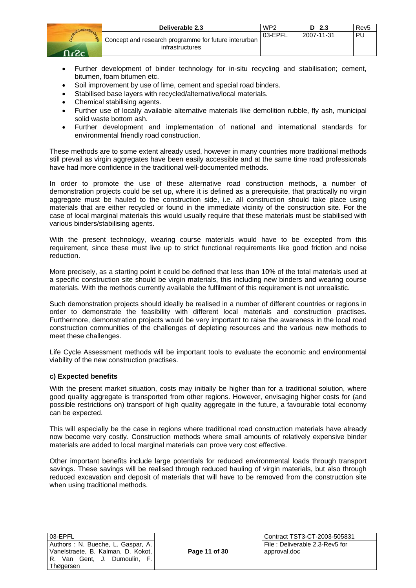|     | Deliverable 2.3                                                         | WP <sub>2</sub> | 2.3<br>D   | Rev <sub>5</sub> |
|-----|-------------------------------------------------------------------------|-----------------|------------|------------------|
| ി.പ | Concept and research programme for future interurban<br>infrastructures | 03-EPFL         | 2007-11-31 | PU               |

- Further development of binder technology for in-situ recycling and stabilisation; cement, bitumen, foam bitumen etc.
- Soil improvement by use of lime, cement and special road binders.
- Stabilised base layers with recycled/alternative/local materials.
- Chemical stabilising agents.
- Further use of locally available alternative materials like demolition rubble, fly ash, municipal solid waste bottom ash.
- Further development and implementation of national and international standards for environmental friendly road construction.

These methods are to some extent already used, however in many countries more traditional methods still prevail as virgin aggregates have been easily accessible and at the same time road professionals have had more confidence in the traditional well-documented methods.

In order to promote the use of these alternative road construction methods, a number of demonstration projects could be set up, where it is defined as a prerequisite, that practically no virgin aggregate must be hauled to the construction side, i.e. all construction should take place using materials that are either recycled or found in the immediate vicinity of the construction site. For the case of local marginal materials this would usually require that these materials must be stabilised with various binders/stabilising agents.

With the present technology, wearing course materials would have to be excepted from this requirement, since these must live up to strict functional requirements like good friction and noise reduction.

More precisely, as a starting point it could be defined that less than 10% of the total materials used at a specific construction site should be virgin materials, this including new binders and wearing course materials. With the methods currently available the fulfilment of this requirement is not unrealistic.

Such demonstration projects should ideally be realised in a number of different countries or regions in order to demonstrate the feasibility with different local materials and construction practises. Furthermore, demonstration projects would be very important to raise the awareness in the local road construction communities of the challenges of depleting resources and the various new methods to meet these challenges.

Life Cycle Assessment methods will be important tools to evaluate the economic and environmental viability of the new construction practises.

#### **c) Expected benefits**

With the present market situation, costs may initially be higher than for a traditional solution, where good quality aggregate is transported from other regions. However, envisaging higher costs for (and possible restrictions on) transport of high quality aggregate in the future, a favourable total economy can be expected.

This will especially be the case in regions where traditional road construction materials have already now become very costly. Construction methods where small amounts of relatively expensive binder materials are added to local marginal materials can prove very cost effective.

Other important benefits include large potentials for reduced environmental loads through transport savings. These savings will be realised through reduced hauling of virgin materials, but also through reduced excavation and deposit of materials that will have to be removed from the construction site when using traditional methods.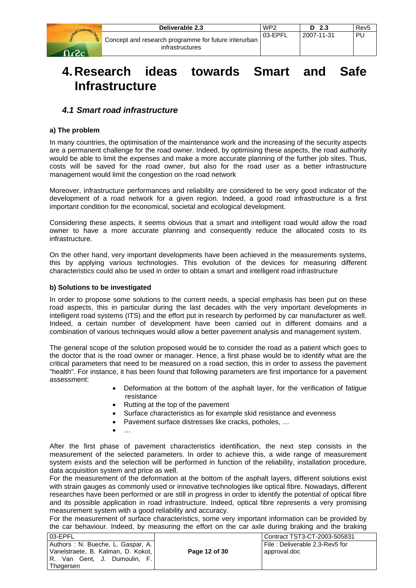|        | Deliverable 2.3                                                                       | WP <sub>2</sub> | - 2.3<br>D | Rev <sub>5</sub> |
|--------|---------------------------------------------------------------------------------------|-----------------|------------|------------------|
| ⊸ביה ח | <sup>1</sup> Concept and research programme for future interurban,<br>infrastructures | 03-EPFL         | 2007-11-31 | PU               |

# **4. Research ideas towards Smart and Safe Infrastructure**

# *4.1 Smart road infrastructure*

## **a) The problem**

In many countries, the optimisation of the maintenance work and the increasing of the security aspects are a permanent challenge for the road owner. Indeed, by optimising these aspects, the road authority would be able to limit the expenses and make a more accurate planning of the further job sites. Thus, costs will be saved for the road owner, but also for the road user as a better infrastructure management would limit the congestion on the road network

Moreover, infrastructure performances and reliability are considered to be very good indicator of the development of a road network for a given region. Indeed, a good road infrastructure is a first important condition for the economical, societal and ecological development.

Considering these aspects, it seems obvious that a smart and intelligent road would allow the road owner to have a more accurate planning and consequently reduce the allocated costs to its infrastructure.

On the other hand, very important developments have been achieved in the measurements systems, this by applying various technologies. This evolution of the devices for measuring different characteristics could also be used in order to obtain a smart and intelligent road infrastructure

## **b) Solutions to be investigated**

In order to propose some solutions to the current needs, a special emphasis has been put on these road aspects, this in particular during the last decades with the very important developments in intelligent road systems (ITS) and the effort put in research by performed by car manufacturer as well. Indeed, a certain number of development have been carried out in different domains and a combination of various techniques would allow a better pavement analysis and management system.

The general scope of the solution proposed would be to consider the road as a patient which goes to the doctor that is the road owner or manager. Hence, a first phase would be to identify what are the critical parameters that need to be measured on a road section, this in order to assess the pavement "health". For instance, it has been found that following parameters are first importance for a pavement assessment:

- Deformation at the bottom of the asphalt layer, for the verification of fatigue resistance
- Rutting at the top of the pavement
- Surface characteristics as for example skid resistance and evenness
- Pavement surface distresses like cracks, potholes, …
- …

After the first phase of pavement characteristics identification, the next step consists in the measurement of the selected parameters. In order to achieve this, a wide range of measurement system exists and the selection will be performed in function of the reliability, installation procedure, data acquisition system and price as well.

For the measurement of the deformation at the bottom of the asphalt layers, different solutions exist with strain gauges as commonly used or innovative technologies like optical fibre. Nowadays, different researches have been performed or are still in progress in order to identify the potential of optical fibre and its possible application in road infrastructure. Indeed, optical fibre represents a very promising measurement system with a good reliability and accuracy.

For the measurement of surface characteristics, some very important information can be provided by the car behaviour. Indeed, by measuring the effort on the car axle during braking and the braking

| 03-EPFL                                                                 |               | Contract TST3-CT-2003-505831                   |
|-------------------------------------------------------------------------|---------------|------------------------------------------------|
| Authors: N. Bueche, L. Gaspar, A.<br>Vanelstraete, B. Kalman, D. Kokot, | Page 12 of 30 | File: Deliverable 2.3-Rev5 for<br>approval.doc |
| R. Van Gent, J. Dumoulin, F.<br><b>Thøgersen</b>                        |               |                                                |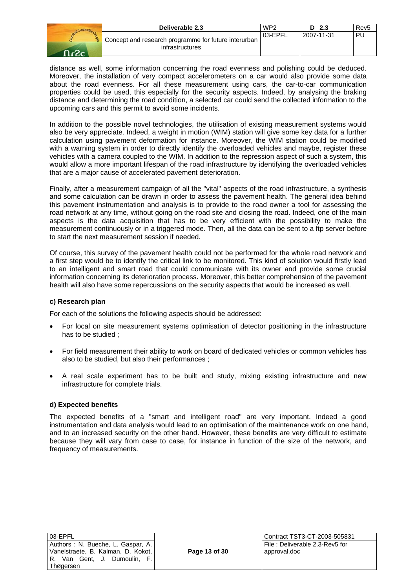|                         | Deliverable 2.3                                                                       | WP <sub>2</sub> | - 2.3<br>D.  | Rev5 |
|-------------------------|---------------------------------------------------------------------------------------|-----------------|--------------|------|
| $\overline{\mathbf{C}}$ | <sup>1</sup> Concept and research programme for future interurban,<br>infrastructures | 03-EPFL         | l 2007-11-31 | Ρl   |

distance as well, some information concerning the road evenness and polishing could be deduced. Moreover, the installation of very compact accelerometers on a car would also provide some data about the road evenness. For all these measurement using cars, the car-to-car communication properties could be used, this especially for the security aspects. Indeed, by analysing the braking distance and determining the road condition, a selected car could send the collected information to the upcoming cars and this permit to avoid some incidents.

In addition to the possible novel technologies, the utilisation of existing measurement systems would also be very appreciate. Indeed, a weight in motion (WIM) station will give some key data for a further calculation using pavement deformation for instance. Moreover, the WIM station could be modified with a warning system in order to directly identify the overloaded vehicles and maybe, register these vehicles with a camera coupled to the WIM. In addition to the repression aspect of such a system, this would allow a more important lifespan of the road infrastructure by identifying the overloaded vehicles that are a major cause of accelerated pavement deterioration.

Finally, after a measurement campaign of all the "vital" aspects of the road infrastructure, a synthesis and some calculation can be drawn in order to assess the pavement health. The general idea behind this pavement instrumentation and analysis is to provide to the road owner a tool for assessing the road network at any time, without going on the road site and closing the road. Indeed, one of the main aspects is the data acquisition that has to be very efficient with the possibility to make the measurement continuously or in a triggered mode. Then, all the data can be sent to a ftp server before to start the next measurement session if needed.

Of course, this survey of the pavement health could not be performed for the whole road network and a first step would be to identify the critical link to be monitored. This kind of solution would firstly lead to an intelligent and smart road that could communicate with its owner and provide some crucial information concerning its deterioration process. Moreover, this better comprehension of the pavement health will also have some repercussions on the security aspects that would be increased as well.

#### **c) Research plan**

For each of the solutions the following aspects should be addressed:

- For local on site measurement systems optimisation of detector positioning in the infrastructure has to be studied ;
- For field measurement their ability to work on board of dedicated vehicles or common vehicles has also to be studied, but also their performances ;
- A real scale experiment has to be built and study, mixing existing infrastructure and new infrastructure for complete trials.

#### **d) Expected benefits**

The expected benefits of a "smart and intelligent road" are very important. Indeed a good instrumentation and data analysis would lead to an optimisation of the maintenance work on one hand, and to an increased security on the other hand. However, these benefits are very difficult to estimate because they will vary from case to case, for instance in function of the size of the network, and frequency of measurements.

| 03-EPFL                            |  |  |  |
|------------------------------------|--|--|--|
| Authors: N. Bueche, L. Gaspar, A.  |  |  |  |
| Vanelstraete, B. Kalman, D. Kokot, |  |  |  |
| R. Van Gent, J. Dumoulin, F.       |  |  |  |
| Thøgersen                          |  |  |  |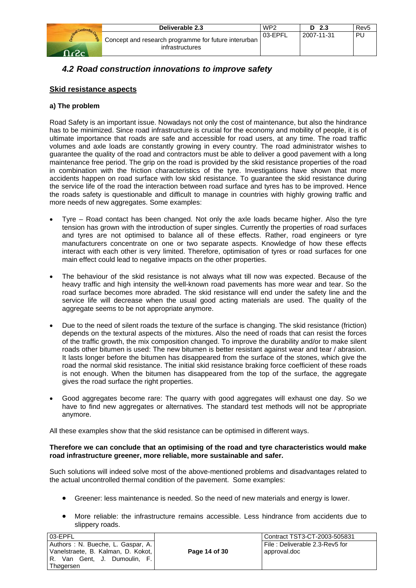|                     | Deliverable 2.3                                                         | WP <sub>2</sub> | D 2.3      | Rev <sub>5</sub> |
|---------------------|-------------------------------------------------------------------------|-----------------|------------|------------------|
| <b>RE</b><br>- ר- ר | Concept and research programme for future interurban<br>infrastructures | 03-EPFL         | 2007-11-31 | PU               |

# *4.2 Road construction innovations to improve safety*

# **Skid resistance aspects**

### **a) The problem**

Road Safety is an important issue. Nowadays not only the cost of maintenance, but also the hindrance has to be minimized. Since road infrastructure is crucial for the economy and mobility of people, it is of ultimate importance that roads are safe and accessible for road users, at any time. The road traffic volumes and axle loads are constantly growing in every country. The road administrator wishes to guarantee the quality of the road and contractors must be able to deliver a good pavement with a long maintenance free period. The grip on the road is provided by the skid resistance properties of the road in combination with the friction characteristics of the tyre. Investigations have shown that more accidents happen on road surface with low skid resistance. To guarantee the skid resistance during the service life of the road the interaction between road surface and tyres has to be improved. Hence the roads safety is questionable and difficult to manage in countries with highly growing traffic and more needs of new aggregates. Some examples:

- Tyre Road contact has been changed. Not only the axle loads became higher. Also the tyre tension has grown with the introduction of super singles. Currently the properties of road surfaces and tyres are not optimised to balance all of these effects. Rather, road engineers or tyre manufacturers concentrate on one or two separate aspects. Knowledge of how these effects interact with each other is very limited. Therefore, optimisation of tyres or road surfaces for one main effect could lead to negative impacts on the other properties.
- The behaviour of the skid resistance is not always what till now was expected. Because of the heavy traffic and high intensity the well-known road pavements has more wear and tear. So the road surface becomes more abraded. The skid resistance will end under the safety line and the service life will decrease when the usual good acting materials are used. The quality of the aggregate seems to be not appropriate anymore.
- Due to the need of silent roads the texture of the surface is changing. The skid resistance (friction) depends on the textural aspects of the mixtures. Also the need of roads that can resist the forces of the traffic growth, the mix composition changed. To improve the durability and/or to make silent roads other bitumen is used: The new bitumen is better resistant against wear and tear / abrasion. It lasts longer before the bitumen has disappeared from the surface of the stones, which give the road the normal skid resistance. The initial skid resistance braking force coefficient of these roads is not enough. When the bitumen has disappeared from the top of the surface, the aggregate gives the road surface the right properties.
- Good aggregates become rare: The quarry with good aggregates will exhaust one day. So we have to find new aggregates or alternatives. The standard test methods will not be appropriate anymore.

All these examples show that the skid resistance can be optimised in different ways.

#### **Therefore we can conclude that an optimising of the road and tyre characteristics would make road infrastructure greener, more reliable, more sustainable and safer.**

Such solutions will indeed solve most of the above-mentioned problems and disadvantages related to the actual uncontrolled thermal condition of the pavement. Some examples:

- Greener: less maintenance is needed. So the need of new materials and energy is lower.
- More reliable: the infrastructure remains accessible. Less hindrance from accidents due to slippery roads.

| 03-EPFL                                                                                                                    |               | Contract TST3-CT-2003-505831                      |
|----------------------------------------------------------------------------------------------------------------------------|---------------|---------------------------------------------------|
| Authors: N. Bueche, L. Gaspar, A.<br>Vanelstraete, B. Kalman, D. Kokot,<br>I.R. Van Gent, J.<br>Dumoulin. F.I<br>Thøgersen | Page 14 of 30 | l File : Deliverable 2.3-Rev5 for<br>approval.doc |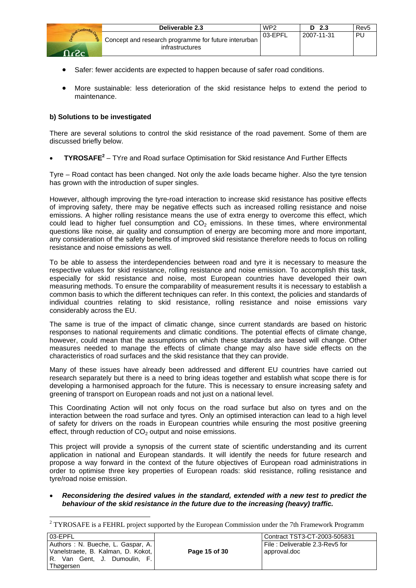

- Safer: fewer accidents are expected to happen because of safer road conditions.
- More sustainable: less deterioration of the skid resistance helps to extend the period to maintenance.

## **b) Solutions to be investigated**

There are several solutions to control the skid resistance of the road pavement. Some of them are discussed briefly below.

• **TYROSAFE<sup>2</sup>** – TYre and Road surface Optimisation for Skid resistance And Further Effects

Tyre – Road contact has been changed. Not only the axle loads became higher. Also the tyre tension has grown with the introduction of super singles.

However, although improving the tyre-road interaction to increase skid resistance has positive effects of improving safety, there may be negative effects such as increased rolling resistance and noise emissions. A higher rolling resistance means the use of extra energy to overcome this effect, which could lead to higher fuel consumption and  $CO<sub>2</sub>$  emissions. In these times, where environmental questions like noise, air quality and consumption of energy are becoming more and more important, any consideration of the safety benefits of improved skid resistance therefore needs to focus on rolling resistance and noise emissions as well.

To be able to assess the interdependencies between road and tyre it is necessary to measure the respective values for skid resistance, rolling resistance and noise emission. To accomplish this task, especially for skid resistance and noise, most European countries have developed their own measuring methods. To ensure the comparability of measurement results it is necessary to establish a common basis to which the different techniques can refer. In this context, the policies and standards of individual countries relating to skid resistance, rolling resistance and noise emissions vary considerably across the EU.

The same is true of the impact of climatic change, since current standards are based on historic responses to national requirements and climatic conditions. The potential effects of climate change, however, could mean that the assumptions on which these standards are based will change. Other measures needed to manage the effects of climate change may also have side effects on the characteristics of road surfaces and the skid resistance that they can provide.

Many of these issues have already been addressed and different EU countries have carried out research separately but there is a need to bring ideas together and establish what scope there is for developing a harmonised approach for the future. This is necessary to ensure increasing safety and greening of transport on European roads and not just on a national level.

This Coordinating Action will not only focus on the road surface but also on tyres and on the interaction between the road surface and tyres. Only an optimised interaction can lead to a high level of safety for drivers on the roads in European countries while ensuring the most positive greening effect, through reduction of  $CO<sub>2</sub>$  output and noise emissions.

This project will provide a synopsis of the current state of scientific understanding and its current application in national and European standards. It will identify the needs for future research and propose a way forward in the context of the future objectives of European road administrations in order to optimise three key properties of European roads: skid resistance, rolling resistance and tyre/road noise emission.

• *Reconsidering the desired values in the standard, extended with a new test to predict the behaviour of the skid resistance in the future due to the increasing (heavy) traffic.* 

<sup>&</sup>lt;sup>2</sup> TYROSAFE is a FEHRL project supported by the European Commission under the 7th Framework Programm

| 03-EPFL                            |  |
|------------------------------------|--|
| Authors : N. Bueche, L. Gaspar, A. |  |
| Vanelstraete, B. Kalman, D. Kokot, |  |
| R. Van Gent, J. Dumoulin, F.       |  |
| Thøgersen                          |  |

l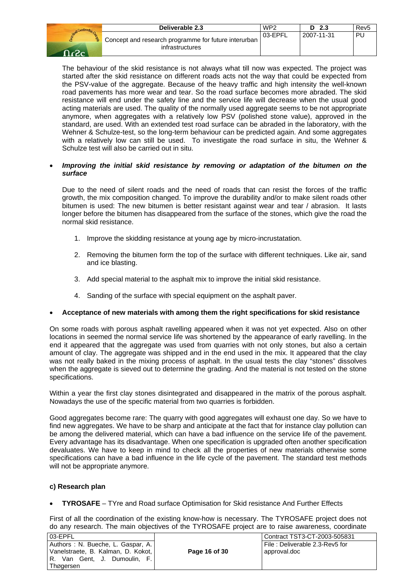|                 | Deliverable 2.3                                                                      | WP <sub>2</sub> | - 2.3<br>D. | Rev <sub>5</sub> |
|-----------------|--------------------------------------------------------------------------------------|-----------------|-------------|------------------|
| $\neg$ $\Omega$ | <sup>1</sup> Concept and research programme for future interurban<br>infrastructures | 03-EPFL         | 2007-11-31  | ΡI               |

The behaviour of the skid resistance is not always what till now was expected. The project was started after the skid resistance on different roads acts not the way that could be expected from the PSV-value of the aggregate. Because of the heavy traffic and high intensity the well-known road pavements has more wear and tear. So the road surface becomes more abraded. The skid resistance will end under the safety line and the service life will decrease when the usual good acting materials are used. The quality of the normally used aggregate seems to be not appropriate anymore, when aggregates with a relatively low PSV (polished stone value), approved in the standard, are used. With an extended test road surface can be abraded in the laboratory, with the Wehner & Schulze-test, so the long-term behaviour can be predicted again. And some aggregates with a relatively low can still be used. To investigate the road surface in situ, the Wehner & Schulze test will also be carried out in situ.

#### • *Improving the initial skid resistance by removing or adaptation of the bitumen on the surface*

Due to the need of silent roads and the need of roads that can resist the forces of the traffic growth, the mix composition changed. To improve the durability and/or to make silent roads other bitumen is used: The new bitumen is better resistant against wear and tear / abrasion. It lasts longer before the bitumen has disappeared from the surface of the stones, which give the road the normal skid resistance.

- 1. Improve the skidding resistance at young age by micro-incrustatation.
- 2. Removing the bitumen form the top of the surface with different techniques. Like air, sand and ice blasting.
- 3. Add special material to the asphalt mix to improve the initial skid resistance.
- 4. Sanding of the surface with special equipment on the asphalt paver.

#### • **Acceptance of new materials with among them the right specifications for skid resistance**

On some roads with porous asphalt ravelling appeared when it was not yet expected. Also on other locations in seemed the normal service life was shortened by the appearance of early ravelling. In the end it appeared that the aggregate was used from quarries with not only stones, but also a certain amount of clay. The aggregate was shipped and in the end used in the mix. It appeared that the clay was not really baked in the mixing process of asphalt. In the usual tests the clay "stones" dissolves when the aggregate is sieved out to determine the grading. And the material is not tested on the stone specifications.

Within a year the first clay stones disintegrated and disappeared in the matrix of the porous asphalt. Nowadays the use of the specific material from two quarries is forbidden.

Good aggregates become rare: The quarry with good aggregates will exhaust one day. So we have to find new aggregates. We have to be sharp and anticipate at the fact that for instance clay pollution can be among the delivered material, which can have a bad influence on the service life of the pavement. Every advantage has its disadvantage. When one specification is upgraded often another specification devaluates. We have to keep in mind to check all the properties of new materials otherwise some specifications can have a bad influence in the life cycle of the pavement. The standard test methods will not be appropriate anymore.

#### **c) Research plan**

• **TYROSAFE** – TYre and Road surface Optimisation for Skid resistance And Further Effects

First of all the coordination of the existing know-how is necessary. The TYROSAFE project does not do any research. The main objectives of the TYROSAFE project are to raise awareness, coordinate

| 03-EPFL                                                                                                         |               | l Contract TST3-CT-2003-505831                    |
|-----------------------------------------------------------------------------------------------------------------|---------------|---------------------------------------------------|
| Authors: N. Bueche, L. Gaspar, A.<br>  Vanelstraete, B. Kalman, D. Kokot,  <br>R. Van Gent, J.<br>Dumoulin. F.I | Page 16 of 30 | l File : Deliverable 2.3-Rev5 for<br>approval.doc |
| Thøgersen                                                                                                       |               |                                                   |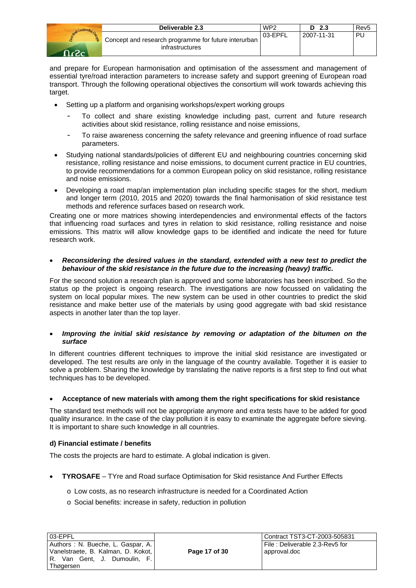|            | Deliverable 2.3                                                         | WP <sub>2</sub> | D <sub>2.3</sub> | Rev <sub>5</sub> |
|------------|-------------------------------------------------------------------------|-----------------|------------------|------------------|
| a.<br>ി.ാ. | Concept and research programme for future interurban<br>infrastructures | 03-EPFL         | 2007-11-31       | PU               |

and prepare for European harmonisation and optimisation of the assessment and management of essential tyre/road interaction parameters to increase safety and support greening of European road transport. Through the following operational objectives the consortium will work towards achieving this target.

- Setting up a platform and organising workshops/expert working groups
	- To collect and share existing knowledge including past, current and future research activities about skid resistance, rolling resistance and noise emissions,
	- To raise awareness concerning the safety relevance and greening influence of road surface parameters.
- Studying national standards/policies of different EU and neighbouring countries concerning skid resistance, rolling resistance and noise emissions, to document current practice in EU countries, to provide recommendations for a common European policy on skid resistance, rolling resistance and noise emissions.
- Developing a road map/an implementation plan including specific stages for the short, medium and longer term (2010, 2015 and 2020) towards the final harmonisation of skid resistance test methods and reference surfaces based on research work.

Creating one or more matrices showing interdependencies and environmental effects of the factors that influencing road surfaces and tyres in relation to skid resistance, rolling resistance and noise emissions. This matrix will allow knowledge gaps to be identified and indicate the need for future research work.

#### • *Reconsidering the desired values in the standard, extended with a new test to predict the behaviour of the skid resistance in the future due to the increasing (heavy) traffic.*

For the second solution a research plan is approved and some laboratories has been inscribed. So the status op the project is ongoing research. The investigations are now focussed on validating the system on local popular mixes. The new system can be used in other countries to predict the skid resistance and make better use of the materials by using good aggregate with bad skid resistance aspects in another later than the top layer.

#### • *Improving the initial skid resistance by removing or adaptation of the bitumen on the surface*

In different countries different techniques to improve the initial skid resistance are investigated or developed. The test results are only in the language of the country available. Together it is easier to solve a problem. Sharing the knowledge by translating the native reports is a first step to find out what techniques has to be developed.

# • **Acceptance of new materials with among them the right specifications for skid resistance**

The standard test methods will not be appropriate anymore and extra tests have to be added for good quality insurance. In the case of the clay pollution it is easy to examinate the aggregate before sieving. It is important to share such knowledge in all countries.

# **d) Financial estimate / benefits**

The costs the projects are hard to estimate. A global indication is given.

- **TYROSAFE** TYre and Road surface Optimisation for Skid resistance And Further Effects
	- o Low costs, as no research infrastructure is needed for a Coordinated Action
	- o Social benefits: increase in safety, reduction in pollution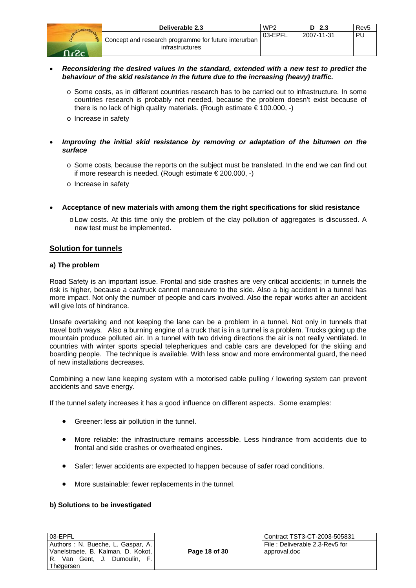| Deliverable 2.3                                                         | WP2     | D <sub>2.3</sub> | Rev <sub>5</sub> |
|-------------------------------------------------------------------------|---------|------------------|------------------|
| Concept and research programme for future interurban<br>infrastructures | 03-EPFL | 2007-11-31       | PU               |

- *Reconsidering the desired values in the standard, extended with a new test to predict the behaviour of the skid resistance in the future due to the increasing (heavy) traffic.* 
	- o Some costs, as in different countries research has to be carried out to infrastructure. In some countries research is probably not needed, because the problem doesn't exist because of there is no lack of high quality materials. (Rough estimate  $\epsilon$  100.000, -)
	- o Increase in safety
- *Improving the initial skid resistance by removing or adaptation of the bitumen on the surface* 
	- o Some costs, because the reports on the subject must be translated. In the end we can find out if more research is needed. (Rough estimate € 200.000, -)
	- o Increase in safety
- **Acceptance of new materials with among them the right specifications for skid resistance**
	- o Low costs. At this time only the problem of the clay pollution of aggregates is discussed. A new test must be implemented.

## **Solution for tunnels**

#### **a) The problem**

Road Safety is an important issue. Frontal and side crashes are very critical accidents; in tunnels the risk is higher, because a car/truck cannot manoeuvre to the side. Also a big accident in a tunnel has more impact. Not only the number of people and cars involved. Also the repair works after an accident will give lots of hindrance.

Unsafe overtaking and not keeping the lane can be a problem in a tunnel. Not only in tunnels that travel both ways. Also a burning engine of a truck that is in a tunnel is a problem. Trucks going up the mountain produce polluted air. In a tunnel with two driving directions the air is not really ventilated. In countries with winter sports special telepheriques and cable cars are developed for the skiing and boarding people. The technique is available. With less snow and more environmental guard, the need of new installations decreases.

Combining a new lane keeping system with a motorised cable pulling / lowering system can prevent accidents and save energy.

If the tunnel safety increases it has a good influence on different aspects. Some examples:

- Greener: less air pollution in the tunnel.
- More reliable: the infrastructure remains accessible. Less hindrance from accidents due to frontal and side crashes or overheated engines.
- Safer: fewer accidents are expected to happen because of safer road conditions.
- More sustainable: fewer replacements in the tunnel.

#### **b) Solutions to be investigated**

| 03-EPFL   |  |                                    |  |
|-----------|--|------------------------------------|--|
|           |  | Authors : N. Bueche, L. Gaspar, A. |  |
|           |  | Vanelstraete, B. Kalman, D. Kokot, |  |
|           |  | R. Van Gent, J. Dumoulin, F.       |  |
| Thøgersen |  |                                    |  |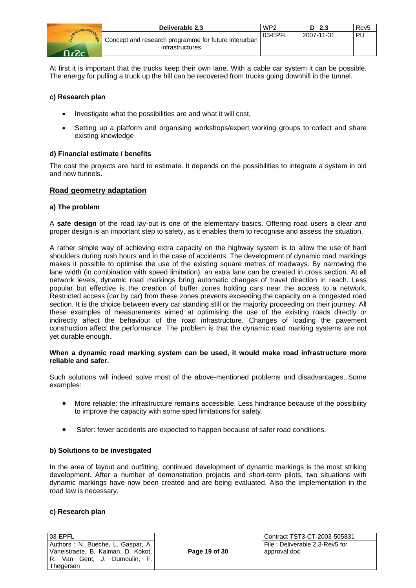|    | Deliverable 2.3                                                         | WP <sub>2</sub> | - 2.3      | Rev <sub>5</sub> |
|----|-------------------------------------------------------------------------|-----------------|------------|------------------|
| ă. | Concept and research programme for future interurban<br>infrastructures | 03-EPFL         | 2007-11-31 | PU               |

At first it is important that the trucks keep their own lane. With a cable car system it can be possible. The energy for pulling a truck up the hill can be recovered from trucks going downhill in the tunnel.

## **c) Research plan**

- Investigate what the possibilities are and what it will cost,
- Setting up a platform and organising workshops/expert working groups to collect and share existing knowledge

## **d) Financial estimate / benefits**

The cost the projects are hard to estimate. It depends on the possibilities to integrate a system in old and new tunnels.

#### **Road geometry adaptation**

#### **a) The problem**

A **safe design** of the road lay-out is one of the elementary basics. Offering road users a clear and proper design is an important step to safety, as it enables them to recognise and assess the situation.

A rather simple way of achieving extra capacity on the highway system is to allow the use of hard shoulders during rush hours and in the case of accidents. The development of dynamic road markings makes it possible to optimise the use of the existing square metres of roadways. By narrowing the lane width (in combination with speed limitation), an extra lane can be created in cross section. At all network levels, dynamic road markings bring automatic changes of travel direction in reach. Less popular but effective is the creation of buffer zones holding cars near the access to a network. Restricted access (car by car) from these zones prevents exceeding the capacity on a congested road section. It is the choice between every car standing still or the majority proceeding on their journey. All these examples of measurements aimed at optimising the use of the existing roads directly or indirectly affect the behaviour of the road infrastructure. Changes of loading the pavement construction affect the performance. The problem is that the dynamic road marking systems are not yet durable enough.

#### **When a dynamic road marking system can be used, it would make road infrastructure more reliable and safer.**

Such solutions will indeed solve most of the above-mentioned problems and disadvantages. Some examples:

- More reliable: the infrastructure remains accessible. Less hindrance because of the possibility to improve the capacity with some sped limitations for safety.
- Safer: fewer accidents are expected to happen because of safer road conditions.

#### **b) Solutions to be investigated**

In the area of layout and outfitting, continued development of dynamic markings is the most striking development. After a number of demonstration projects and short-term pilots, two situations with dynamic markings have now been created and are being evaluated. Also the implementation in the road law is necessary.

#### **c) Research plan**

| 03-EPFL                            |  |  |  |
|------------------------------------|--|--|--|
| Authors: N. Bueche, L. Gaspar, A.  |  |  |  |
| Vanelstraete, B. Kalman, D. Kokot, |  |  |  |
| R. Van Gent. J. Dumoulin. F.       |  |  |  |
| Thøgersen                          |  |  |  |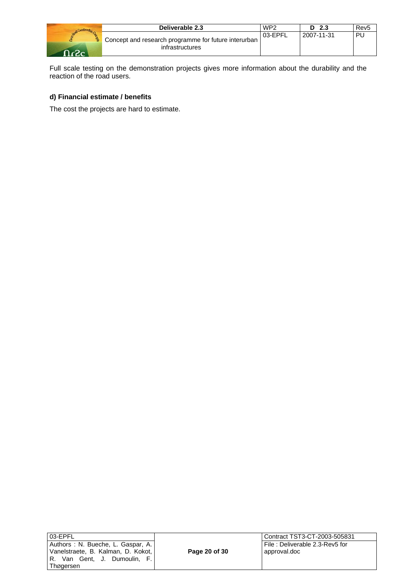|      | Deliverable 2.3                                                                      | WP <sub>2</sub> | D <sub>2.3</sub> | Rev5 |
|------|--------------------------------------------------------------------------------------|-----------------|------------------|------|
| -מ-ב | <sup>1</sup> Concept and research programme for future interurban<br>infrastructures | 03-EPFL         | 2007-11-31       | ÞI   |

Full scale testing on the demonstration projects gives more information about the durability and the reaction of the road users.

# **d) Financial estimate / benefits**

The cost the projects are hard to estimate.

| 03-EPFL                            |  |
|------------------------------------|--|
| Authors : N. Bueche, L. Gaspar, A. |  |
| Vanelstraete, B. Kalman, D. Kokot, |  |
| R. Van Gent, J. Dumoulin, F.       |  |
| Thøgersen                          |  |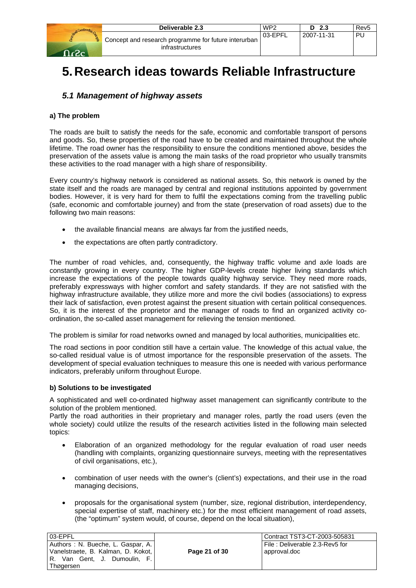|                       | Deliverable 2.3                                                         | WP <sub>2</sub> | 2.3<br>n.  | Rev <sub>5</sub> |
|-----------------------|-------------------------------------------------------------------------|-----------------|------------|------------------|
| <b>PERE</b><br>- כ- ב | Concept and research programme for future interurban<br>infrastructures | 03-EPFL         | 2007-11-31 | PU               |

# **5. Research ideas towards Reliable Infrastructure**

# *5.1 Management of highway assets*

## **a) The problem**

The roads are built to satisfy the needs for the safe, economic and comfortable transport of persons and goods. So, these properties of the road have to be created and maintained throughout the whole lifetime. The road owner has the responsibility to ensure the conditions mentioned above, besides the preservation of the assets value is among the main tasks of the road proprietor who usually transmits these activities to the road manager with a high share of responsibility.

Every country's highway network is considered as national assets. So, this network is owned by the state itself and the roads are managed by central and regional institutions appointed by government bodies. However, it is very hard for them to fulfil the expectations coming from the travelling public (safe, economic and comfortable journey) and from the state (preservation of road assets) due to the following two main reasons:

- the available financial means are always far from the justified needs,
- the expectations are often partly contradictory.

The number of road vehicles, and, consequently, the highway traffic volume and axle loads are constantly growing in every country. The higher GDP-levels create higher living standards which increase the expectations of the people towards quality highway service. They need more roads, preferably expressways with higher comfort and safety standards. If they are not satisfied with the highway infrastructure available, they utilize more and more the civil bodies (associations) to express their lack of satisfaction, even protest against the present situation with certain political consequences. So, it is the interest of the proprietor and the manager of roads to find an organized activity coordination, the so-called asset management for relieving the tension mentioned.

The problem is similar for road networks owned and managed by local authorities, municipalities etc.

The road sections in poor condition still have a certain value. The knowledge of this actual value, the so-called residual value is of utmost importance for the responsible preservation of the assets. The development of special evaluation techniques to measure this one is needed with various performance indicators, preferably uniform throughout Europe.

#### **b) Solutions to be investigated**

A sophisticated and well co-ordinated highway asset management can significantly contribute to the solution of the problem mentioned.

Partly the road authorities in their proprietary and manager roles, partly the road users (even the whole society) could utilize the results of the research activities listed in the following main selected topics:

- Elaboration of an organized methodology for the regular evaluation of road user needs (handling with complaints, organizing questionnaire surveys, meeting with the representatives of civil organisations, etc.),
- combination of user needs with the owner's (client's) expectations, and their use in the road managing decisions,
- proposals for the organisational system (number, size, regional distribution, interdependency, special expertise of staff, machinery etc.) for the most efficient management of road assets, (the "optimum" system would, of course, depend on the local situation),

| 03-EPFL                                                                                                                |               | Contract TST3-CT-2003-505831                   |
|------------------------------------------------------------------------------------------------------------------------|---------------|------------------------------------------------|
| Authors: N. Bueche, L. Gaspar, A.<br>Vanelstraete, B. Kalman, D. Kokot,<br>R. Van Gent, J. Dumoulin, F. I<br>Thøgersen | Page 21 of 30 | File: Deliverable 2.3-Rev5 for<br>approval.doc |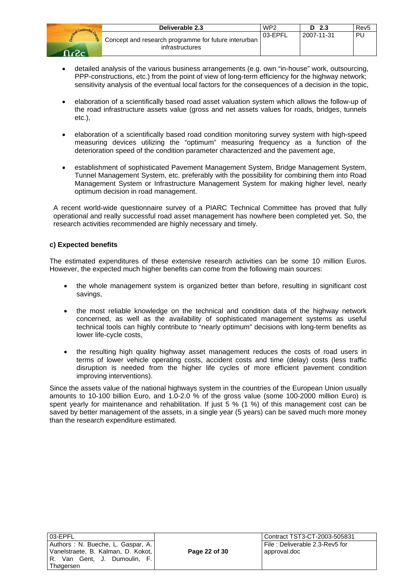| Send Construction Con |  |
|-----------------------|--|
|                       |  |
| <u>، جي</u><br>n.     |  |

| Deliverable 2.3                                                         | WP <sub>2</sub> | 2.3        | Rev <sub>5</sub> |
|-------------------------------------------------------------------------|-----------------|------------|------------------|
| Concept and research programme for future interurban<br>infrastructures | 03-EPFL         | 2007-11-31 | ' PU             |

- detailed analysis of the various business arrangements (e.g. own "in-house" work, outsourcing, PPP-constructions, etc.) from the point of view of long-term efficiency for the highway network; sensitivity analysis of the eventual local factors for the consequences of a decision in the topic,
- elaboration of a scientifically based road asset valuation system which allows the follow-up of the road infrastructure assets value (gross and net assets values for roads, bridges, tunnels etc.),
- elaboration of a scientifically based road condition monitoring survey system with high-speed measuring devices utilizing the "optimum" measuring frequency as a function of the deterioration speed of the condition parameter characterized and the pavement age,
- establishment of sophisticated Pavement Management System, Bridge Management System, Tunnel Management System, etc. preferably with the possibility for combining them into Road Management System or Infrastructure Management System for making higher level, nearly optimum decision in road management.

A recent world-wide questionnaire survey of a PIARC Technical Committee has proved that fully operational and really successful road asset management has nowhere been completed yet. So, the research activities recommended are highly necessary and timely.

## **c) Expected benefits**

The estimated expenditures of these extensive research activities can be some 10 million Euros. However, the expected much higher benefits can come from the following main sources:

- the whole management system is organized better than before, resulting in significant cost savings,
- the most reliable knowledge on the technical and condition data of the highway network concerned, as well as the availability of sophisticated management systems as useful technical tools can highly contribute to "nearly optimum" decisions with long-term benefits as lower life-cycle costs,
- the resulting high quality highway asset management reduces the costs of road users in terms of lower vehicle operating costs, accident costs and time (delay) costs (less traffic disruption is needed from the higher life cycles of more efficient pavement condition improving interventions).

Since the assets value of the national highways system in the countries of the European Union usually amounts to 10-100 billion Euro, and 1.0-2.0 % of the gross value (some 100-2000 million Euro) is spent yearly for maintenance and rehabilitation. If just 5 % (1 %) of this management cost can be saved by better management of the assets, in a single year (5 years) can be saved much more money than the research expenditure estimated.

| 03-EPFL                            |  |
|------------------------------------|--|
| Authors: N. Bueche, L. Gaspar, A.  |  |
| Vanelstraete, B. Kalman, D. Kokot, |  |
| R. Van Gent, J. Dumoulin, F.       |  |
| Thøgersen                          |  |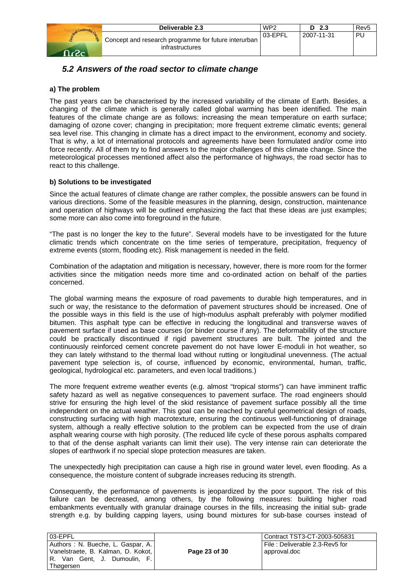| Deliverable 2.3                                                         | WP <sub>2</sub> | - 2.3      | <b>Revt</b> |
|-------------------------------------------------------------------------|-----------------|------------|-------------|
| Concept and research programme for future interurban<br>infrastructures | 03-EPFL         | 2007-11-31 | PL          |

# *5.2 Answers of the road sector to climate change*

# **a) The problem**

The past years can be characterised by the increased variability of the climate of Earth. Besides, a changing of the climate which is generally called global warming has been identified. The main features of the climate change are as follows: increasing the mean temperature on earth surface; damaging of ozone cover; changing in precipitation; more frequent extreme climatic events; general sea level rise. This changing in climate has a direct impact to the environment, economy and society. That is why, a lot of international protocols and agreements have been formulated and/or come into force recently. All of them try to find answers to the major challenges of this climate change. Since the meteorological processes mentioned affect also the performance of highways, the road sector has to react to this challenge.

## **b) Solutions to be investigated**

Since the actual features of climate change are rather complex, the possible answers can be found in various directions. Some of the feasible measures in the planning, design, construction, maintenance and operation of highways will be outlined emphasizing the fact that these ideas are just examples; some more can also come into foreground in the future.

"The past is no longer the key to the future". Several models have to be investigated for the future climatic trends which concentrate on the time series of temperature, precipitation, frequency of extreme events (storm, flooding etc). Risk management is needed in the field.

Combination of the adaptation and mitigation is necessary, however, there is more room for the former activities since the mitigation needs more time and co-ordinated action on behalf of the parties concerned.

The global warming means the exposure of road pavements to durable high temperatures, and in such or way, the resistance to the deformation of pavement structures should be increased. One of the possible ways in this field is the use of high-modulus asphalt preferably with polymer modified bitumen. This asphalt type can be effective in reducing the longitudinal and transverse waves of pavement surface if used as base courses (or binder course if any). The deformability of the structure could be practically discontinued if rigid pavement structures are built. The jointed and the continuously reinforced cement concrete pavement do not have lower E-moduli in hot weather, so they can lately withstand to the thermal load without rutting or longitudinal unevenness. (The actual pavement type selection is, of course, influenced by economic, environmental, human, traffic, geological, hydrological etc. parameters, and even local traditions.)

The more frequent extreme weather events (e.g. almost "tropical storms") can have imminent traffic safety hazard as well as negative consequences to pavement surface. The road engineers should strive for ensuring the high level of the skid resistance of pavement surface possibly all the time independent on the actual weather. This goal can be reached by careful geometrical design of roads, constructing surfacing with high macrotexture, ensuring the continuous well-functioning of drainage system, although a really effective solution to the problem can be expected from the use of drain asphalt wearing course with high porosity. (The reduced life cycle of these porous asphalts compared to that of the dense asphalt variants can limit their use). The very intense rain can deteriorate the slopes of earthwork if no special slope protection measures are taken.

The unexpectedly high precipitation can cause a high rise in ground water level, even flooding. As a consequence, the moisture content of subgrade increases reducing its strength.

Consequently, the performance of pavements is jeopardized by the poor support. The risk of this failure can be decreased, among others, by the following measures: building higher road embankments eventually with granular drainage courses in the fills, increasing the initial sub- grade strength e.g. by building capping layers, using bound mixtures for sub-base courses instead of

| 03-EPFL                                                                 |               | Contract TST3-CT-2003-505831                   |
|-------------------------------------------------------------------------|---------------|------------------------------------------------|
| Authors: N. Bueche, L. Gaspar, A.<br>Vanelstraete, B. Kalman, D. Kokot, | Page 23 of 30 | File: Deliverable 2.3-Rev5 for<br>approval.doc |
| R. Van Gent, J. Dumoulin, F.                                            |               |                                                |
| Thøgersen                                                               |               |                                                |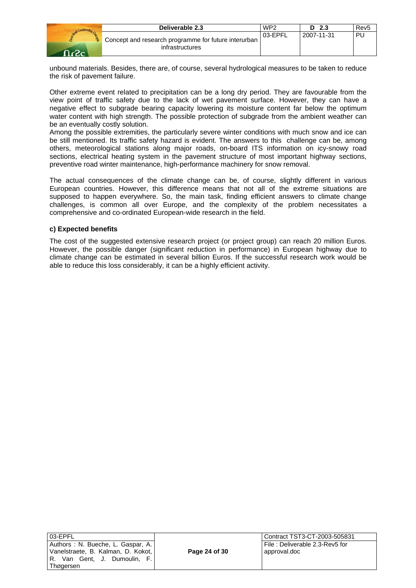|   | Deliverable 2.3                                                         | WP <sub>2</sub> | - 2.3      | Rev <sub>5</sub> |
|---|-------------------------------------------------------------------------|-----------------|------------|------------------|
| 웧 | Concept and research programme for future interurban<br>infrastructures | 03-EPFL         | 2007-11-31 | <b>PU</b>        |

unbound materials. Besides, there are, of course, several hydrological measures to be taken to reduce the risk of pavement failure.

Other extreme event related to precipitation can be a long dry period. They are favourable from the view point of traffic safety due to the lack of wet pavement surface. However, they can have a negative effect to subgrade bearing capacity lowering its moisture content far below the optimum water content with high strength. The possible protection of subgrade from the ambient weather can be an eventually costly solution.

Among the possible extremities, the particularly severe winter conditions with much snow and ice can be still mentioned. Its traffic safety hazard is evident. The answers to this challenge can be, among others, meteorological stations along major roads, on-board ITS information on icy-snowy road sections, electrical heating system in the pavement structure of most important highway sections, preventive road winter maintenance, high-performance machinery for snow removal.

The actual consequences of the climate change can be, of course, slightly different in various European countries. However, this difference means that not all of the extreme situations are supposed to happen everywhere. So, the main task, finding efficient answers to climate change challenges, is common all over Europe, and the complexity of the problem necessitates a comprehensive and co-ordinated European-wide research in the field.

#### **c) Expected benefits**

The cost of the suggested extensive research project (or project group) can reach 20 million Euros. However, the possible danger (significant reduction in performance) in European highway due to climate change can be estimated in several billion Euros. If the successful research work would be able to reduce this loss considerably, it can be a highly efficient activity.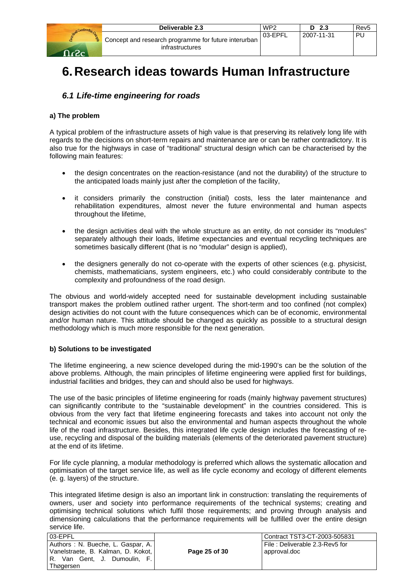|       | Deliverable 2.3                                                           | WP <sub>2</sub> | D <sub>2.3</sub> | Rev5 |
|-------|---------------------------------------------------------------------------|-----------------|------------------|------|
| ി -ാം | Concept and research programme for future interurban  <br>infrastructures | 03-EPFL         | 2007-11-31       | PU.  |

# **6. Research ideas towards Human Infrastructure**

# *6.1 Life-time engineering for roads*

### **a) The problem**

A typical problem of the infrastructure assets of high value is that preserving its relatively long life with regards to the decisions on short-term repairs and maintenance are or can be rather contradictory. It is also true for the highways in case of "traditional" structural design which can be characterised by the following main features:

- the design concentrates on the reaction-resistance (and not the durability) of the structure to the anticipated loads mainly just after the completion of the facility.
- it considers primarily the construction (initial) costs, less the later maintenance and rehabilitation expenditures, almost never the future environmental and human aspects throughout the lifetime,
- the design activities deal with the whole structure as an entity, do not consider its "modules" separately although their loads, lifetime expectancies and eventual recycling techniques are sometimes basically different (that is no "modular" design is applied),
- the designers generally do not co-operate with the experts of other sciences (e.g. physicist, chemists, mathematicians, system engineers, etc.) who could considerably contribute to the complexity and profoundness of the road design.

The obvious and world-widely accepted need for sustainable development including sustainable transport makes the problem outlined rather urgent. The short-term and too confined (not complex) design activities do not count with the future consequences which can be of economic, environmental and/or human nature. This attitude should be changed as quickly as possible to a structural design methodology which is much more responsible for the next generation.

#### **b) Solutions to be investigated**

The lifetime engineering, a new science developed during the mid-1990's can be the solution of the above problems. Although, the main principles of lifetime engineering were applied first for buildings, industrial facilities and bridges, they can and should also be used for highways.

The use of the basic principles of lifetime engineering for roads (mainly highway pavement structures) can significantly contribute to the "sustainable development" in the countries considered. This is obvious from the very fact that lifetime engineering forecasts and takes into account not only the technical and economic issues but also the environmental and human aspects throughout the whole life of the road infrastructure. Besides, this integrated life cycle design includes the forecasting of reuse, recycling and disposal of the building materials (elements of the deteriorated pavement structure) at the end of its lifetime.

For life cycle planning, a modular methodology is preferred which allows the systematic allocation and optimisation of the target service life, as well as life cycle economy and ecology of different elements (e. g. layers) of the structure.

This integrated lifetime design is also an important link in construction: translating the requirements of owners, user and society into performance requirements of the technical systems; creating and optimising technical solutions which fulfil those requirements; and proving through analysis and dimensioning calculations that the performance requirements will be fulfilled over the entire design service life.

| 03-EPFL                                                                 |               | Contract TST3-CT-2003-505831                   |
|-------------------------------------------------------------------------|---------------|------------------------------------------------|
| Authors: N. Bueche, L. Gaspar, A.<br>Vanelstraete, B. Kalman, D. Kokot, | Page 25 of 30 | File: Deliverable 2.3-Rev5 for<br>approval.doc |
| R. Van Gent, J. Dumoulin, F.  <br>Thøgersen                             |               |                                                |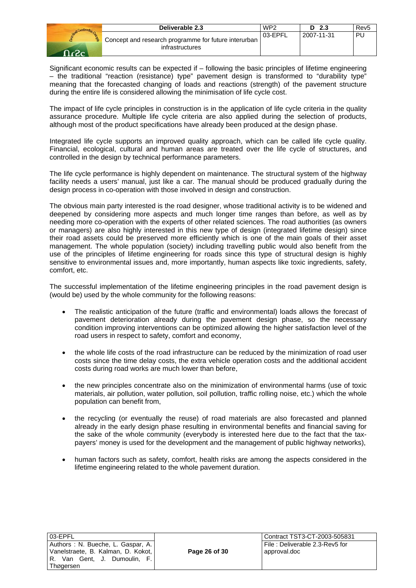|      | Deliverable 2.3                                                                      | WP <sub>2</sub> | - 2.3<br>D | Rev <sub>5</sub> |
|------|--------------------------------------------------------------------------------------|-----------------|------------|------------------|
| ാം - | <sup>1</sup> Concept and research programme for future interurban<br>infrastructures | 03-EPFL         | 2007-11-31 | PU               |

Significant economic results can be expected if – following the basic principles of lifetime engineering – the traditional "reaction (resistance) type" pavement design is transformed to "durability type" meaning that the forecasted changing of loads and reactions (strength) of the pavement structure during the entire life is considered allowing the minimisation of life cycle cost.

The impact of life cycle principles in construction is in the application of life cycle criteria in the quality assurance procedure. Multiple life cycle criteria are also applied during the selection of products, although most of the product specifications have already been produced at the design phase.

Integrated life cycle supports an improved quality approach, which can be called life cycle quality. Financial, ecological, cultural and human areas are treated over the life cycle of structures, and controlled in the design by technical performance parameters.

The life cycle performance is highly dependent on maintenance. The structural system of the highway facility needs a users' manual, just like a car. The manual should be produced gradually during the design process in co-operation with those involved in design and construction.

The obvious main party interested is the road designer, whose traditional activity is to be widened and deepened by considering more aspects and much longer time ranges than before, as well as by needing more co-operation with the experts of other related sciences. The road authorities (as owners or managers) are also highly interested in this new type of design (integrated lifetime design) since their road assets could be preserved more efficiently which is one of the main goals of their asset management. The whole population (society) including travelling public would also benefit from the use of the principles of lifetime engineering for roads since this type of structural design is highly sensitive to environmental issues and, more importantly, human aspects like toxic ingredients, safety, comfort, etc.

The successful implementation of the lifetime engineering principles in the road pavement design is (would be) used by the whole community for the following reasons:

- The realistic anticipation of the future (traffic and environmental) loads allows the forecast of pavement deterioration already during the pavement design phase, so the necessary condition improving interventions can be optimized allowing the higher satisfaction level of the road users in respect to safety, comfort and economy,
- the whole life costs of the road infrastructure can be reduced by the minimization of road user costs since the time delay costs, the extra vehicle operation costs and the additional accident costs during road works are much lower than before,
- the new principles concentrate also on the minimization of environmental harms (use of toxic materials, air pollution, water pollution, soil pollution, traffic rolling noise, etc.) which the whole population can benefit from,
- the recycling (or eventually the reuse) of road materials are also forecasted and planned already in the early design phase resulting in environmental benefits and financial saving for the sake of the whole community (everybody is interested here due to the fact that the taxpayers' money is used for the development and the management of public highway networks),
- human factors such as safety, comfort, health risks are among the aspects considered in the lifetime engineering related to the whole pavement duration.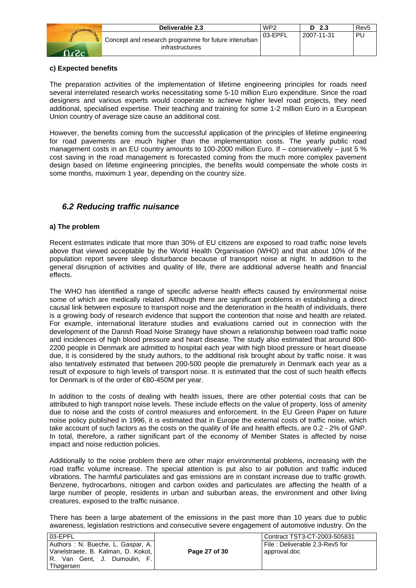| Construction Canal<br><b>Service</b> |
|--------------------------------------|
|                                      |
| حه                                   |

|   | Deliverable 2.3                                                           | WP <sub>2</sub> | D <sub>2.3</sub> | Rev <sub>5</sub> |
|---|---------------------------------------------------------------------------|-----------------|------------------|------------------|
| 훥 | Concept and research programme for future interurban  <br>infrastructures | 03-EPFL         | 2007-11-31       | -PL.             |

## **c) Expected benefits**

The preparation activities of the implementation of lifetime engineering principles for roads need several interrelated research works necessitating some 5-10 million Euro expenditure. Since the road designers and various experts would cooperate to achieve higher level road projects, they need additional, specialised expertise. Their teaching and training for some 1-2 million Euro in a European Union country of average size cause an additional cost.

However, the benefits coming from the successful application of the principles of lifetime engineering for road pavements are much higher than the implementation costs. The yearly public road management costs in an EU country amounts to 100-2000 million Euro. If – conservatively – just 5 % cost saving in the road management is forecasted coming from the much more complex pavement design based on lifetime engineering principles, the benefits would compensate the whole costs in some months, maximum 1 year, depending on the country size.

# *6.2 Reducing traffic nuisance*

## **a) The problem**

Recent estimates indicate that more than 30% of EU citizens are exposed to road traffic noise levels above that viewed acceptable by the World Health Organisation (WHO) and that about 10% of the population report severe sleep disturbance because of transport noise at night. In addition to the general disruption of activities and quality of life, there are additional adverse health and financial effects.

The WHO has identified a range of specific adverse health effects caused by environmental noise some of which are medically related. Although there are significant problems in establishing a direct causal link between exposure to transport noise and the deterioration in the health of individuals, there is a growing body of research evidence that support the contention that noise and health are related. For example, international literature studies and evaluations carried out in connection with the development of the Danish Road Noise Strategy have shown a relationship between road traffic noise and incidences of high blood pressure and heart disease. The study also estimated that around 800- 2200 people in Denmark are admitted to hospital each year with high blood pressure or heart disease due, it is considered by the study authors, to the additional risk brought about by traffic noise. It was also tentatively estimated that between 200-500 people die prematurely in Denmark each year as a result of exposure to high levels of transport noise. It is estimated that the cost of such health effects for Denmark is of the order of €80-450M per year.

In addition to the costs of dealing with health issues, there are other potential costs that can be attributed to high transport noise levels. These include effects on the value of property, loss of amenity due to noise and the costs of control measures and enforcement. In the EU Green Paper on future noise policy published in 1996, it is estimated that in Europe the external costs of traffic noise, which take account of such factors as the costs on the quality of life and health effects, are 0.2 - 2% of GNP. In total, therefore, a rather significant part of the economy of Member States is affected by noise impact and noise reduction policies.

Additionally to the noise problem there are other major environmental problems, increasing with the road traffic volume increase. The special attention is put also to air pollution and traffic induced vibrations. The harmful particulates and gas emissions are in constant increase due to traffic growth. Benzene, hydrocarbons, nitrogen and carbon oxides and particulates are affecting the health of a large number of people, residents in urban and suburban areas, the environment and other living creatures, exposed to the traffic nuisance.

There has been a large abatement of the emissions in the past more than 10 years due to public awareness, legislation restrictions and consecutive severe engagement of automotive industry. On the

| 03-EPFL                                                                   |               | Contract TST3-CT-2003-505831                   |
|---------------------------------------------------------------------------|---------------|------------------------------------------------|
| Authors: N. Bueche, L. Gaspar, A.<br>  Vanelstraete, B. Kalman, D. Kokot, | Page 27 of 30 | File: Deliverable 2.3-Rev5 for<br>approval.doc |
| R. Van Gent, J. Dumoulin, F.  <br>Thøgersen                               |               |                                                |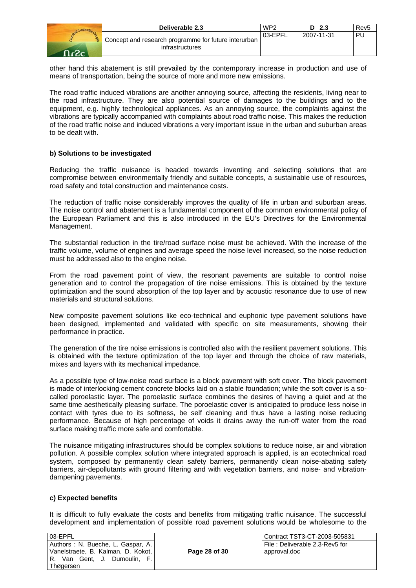| Deliverable 2.3                                                         | WP <sub>2</sub> | 2.3<br>D   | Rev5 |
|-------------------------------------------------------------------------|-----------------|------------|------|
| Concept and research programme for future interurban<br>infrastructures | 03-EPFL         | 2007-11-31 |      |

other hand this abatement is still prevailed by the contemporary increase in production and use of means of transportation, being the source of more and more new emissions.

The road traffic induced vibrations are another annoying source, affecting the residents, living near to the road infrastructure. They are also potential source of damages to the buildings and to the equipment, e.g. highly technological appliances. As an annoying source, the complaints against the vibrations are typically accompanied with complaints about road traffic noise. This makes the reduction of the road traffic noise and induced vibrations a very important issue in the urban and suburban areas to be dealt with.

#### **b) Solutions to be investigated**

Reducing the traffic nuisance is headed towards inventing and selecting solutions that are compromise between environmentally friendly and suitable concepts, a sustainable use of resources, road safety and total construction and maintenance costs.

The reduction of traffic noise considerably improves the quality of life in urban and suburban areas. The noise control and abatement is a fundamental component of the common environmental policy of the European Parliament and this is also introduced in the EU's Directives for the Environmental Management.

The substantial reduction in the tire/road surface noise must be achieved. With the increase of the traffic volume, volume of engines and average speed the noise level increased, so the noise reduction must be addressed also to the engine noise.

From the road pavement point of view, the resonant pavements are suitable to control noise generation and to control the propagation of tire noise emissions. This is obtained by the texture optimization and the sound absorption of the top layer and by acoustic resonance due to use of new materials and structural solutions.

New composite pavement solutions like eco-technical and euphonic type pavement solutions have been designed, implemented and validated with specific on site measurements, showing their performance in practice.

The generation of the tire noise emissions is controlled also with the resilient pavement solutions. This is obtained with the texture optimization of the top layer and through the choice of raw materials, mixes and layers with its mechanical impedance.

As a possible type of low-noise road surface is a block pavement with soft cover. The block pavement is made of interlocking cement concrete blocks laid on a stable foundation; while the soft cover is a socalled poroelastic layer. The poroelastic surface combines the desires of having a quiet and at the same time aesthetically pleasing surface. The poroelastic cover is anticipated to produce less noise in contact with tyres due to its softness, be self cleaning and thus have a lasting noise reducing performance. Because of high percentage of voids it drains away the run-off water from the road surface making traffic more safe and comfortable.

The nuisance mitigating infrastructures should be complex solutions to reduce noise, air and vibration pollution. A possible complex solution where integrated approach is applied, is an ecotechnical road system, composed by permanently clean safety barriers, permanently clean noise-abating safety barriers, air-depollutants with ground filtering and with vegetation barriers, and noise- and vibrationdampening pavements.

#### **c) Expected benefits**

It is difficult to fully evaluate the costs and benefits from mitigating traffic nuisance. The successful development and implementation of possible road pavement solutions would be wholesome to the

| 03-EPFL                            |  |  |  |  |
|------------------------------------|--|--|--|--|
| Authors : N. Bueche, L. Gaspar, A. |  |  |  |  |
| Vanelstraete, B. Kalman, D. Kokot, |  |  |  |  |
| R. Van Gent, J. Dumoulin, F.       |  |  |  |  |
| Thøgersen                          |  |  |  |  |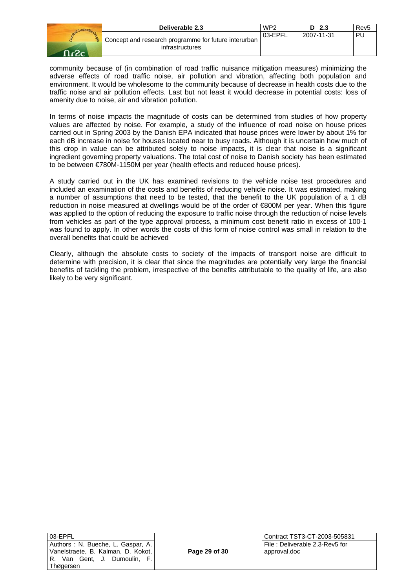|        | Deliverable 2.3                                                         | WP <sub>2</sub> | -2.3<br>D  | Rev5 |
|--------|-------------------------------------------------------------------------|-----------------|------------|------|
| . פ- פ | Concept and research programme for future interurban<br>infrastructures | 03-EPFL         | 2007-11-31 | PL   |

community because of (in combination of road traffic nuisance mitigation measures) minimizing the adverse effects of road traffic noise, air pollution and vibration, affecting both population and environment. It would be wholesome to the community because of decrease in health costs due to the traffic noise and air pollution effects. Last but not least it would decrease in potential costs: loss of amenity due to noise, air and vibration pollution.

In terms of noise impacts the magnitude of costs can be determined from studies of how property values are affected by noise. For example, a study of the influence of road noise on house prices carried out in Spring 2003 by the Danish EPA indicated that house prices were lower by about 1% for each dB increase in noise for houses located near to busy roads. Although it is uncertain how much of this drop in value can be attributed solely to noise impacts, it is clear that noise is a significant ingredient governing property valuations. The total cost of noise to Danish society has been estimated to be between €780M-1150M per year (health effects and reduced house prices).

A study carried out in the UK has examined revisions to the vehicle noise test procedures and included an examination of the costs and benefits of reducing vehicle noise. It was estimated, making a number of assumptions that need to be tested, that the benefit to the UK population of a 1 dB reduction in noise measured at dwellings would be of the order of €800M per year. When this figure was applied to the option of reducing the exposure to traffic noise through the reduction of noise levels from vehicles as part of the type approval process, a minimum cost benefit ratio in excess of 100-1 was found to apply. In other words the costs of this form of noise control was small in relation to the overall benefits that could be achieved

Clearly, although the absolute costs to society of the impacts of transport noise are difficult to determine with precision, it is clear that since the magnitudes are potentially very large the financial benefits of tackling the problem, irrespective of the benefits attributable to the quality of life, are also likely to be very significant.

| 03-EPFL                            |  |  |  |  |
|------------------------------------|--|--|--|--|
| Authors: N. Bueche, L. Gaspar, A.  |  |  |  |  |
| Vanelstraete, B. Kalman, D. Kokot, |  |  |  |  |
| R. Van Gent, J. Dumoulin, F.       |  |  |  |  |
| Thøgersen                          |  |  |  |  |